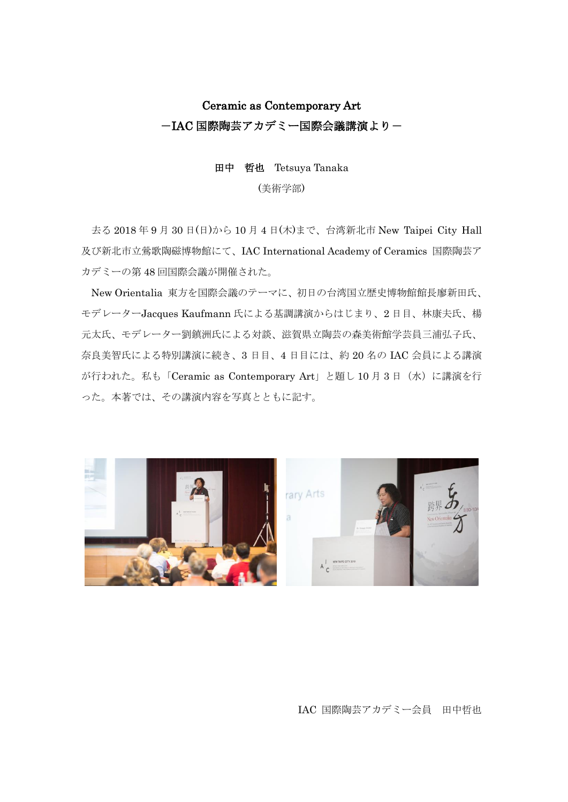## Ceramic as Contemporary Art -IAC 国際陶芸アカデミー国際会議講演より-

## 田中 哲也 Tetsuya Tanaka

## (美術学部)

去る 2018 年 9 月 30 日(日)から 10 月 4 日(木)まで、台湾新北市 New Taipei City Hall 及び新北市立鶯歌陶磁博物館にて、IAC International Academy of Ceramics 国際陶芸ア カデミーの第 48 回国際会議が開催された。

New Orientalia 東方を国際会議のテーマに、初日の台湾国立歴史博物館館長廖新田氏、 モデレーターJacques Kaufmann 氏による基調講演からはじまり、2 日目、林康夫氏、楊 元太氏、モデレーター劉鎮洲氏による対談、滋賀県立陶芸の森美術館学芸員三浦弘子氏、 奈良美智氏による特別講演に続き、3 日目、4 日目には、約 20 名の IAC 会員による講演 が行われた。私も「Ceramic as Contemporary Art」と題し 10 月 3 日(水)に講演を行 った。本著では、その講演内容を写真とともに記す。



IAC 国際陶芸アカデミー会員 田中哲也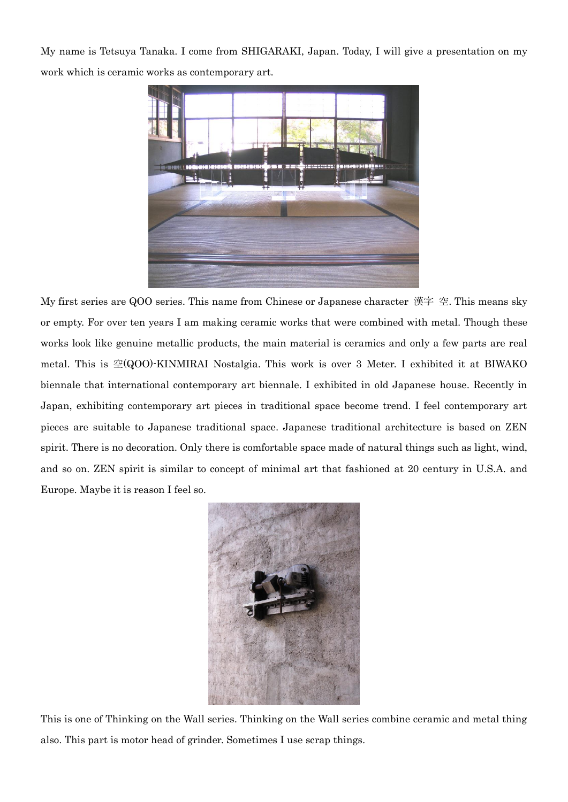My name is Tetsuya Tanaka. I come from SHIGARAKI, Japan. Today, I will give a presentation on my work which is ceramic works as contemporary art.



My first series are QOO series. This name from Chinese or Japanese character 漢字 空. This means sky or empty. For over ten years I am making ceramic works that were combined with metal. Though these works look like genuine metallic products, the main material is ceramics and only a few parts are real metal. This is 空(QOO)-KINMIRAI Nostalgia. This work is over 3 Meter. I exhibited it at BIWAKO biennale that international contemporary art biennale. I exhibited in old Japanese house. Recently in Japan, exhibiting contemporary art pieces in traditional space become trend. I feel contemporary art pieces are suitable to Japanese traditional space. Japanese traditional architecture is based on ZEN spirit. There is no decoration. Only there is comfortable space made of natural things such as light, wind, and so on. ZEN spirit is similar to concept of minimal art that fashioned at 20 century in U.S.A. and Europe. Maybe it is reason I feel so.



This is one of Thinking on the Wall series. Thinking on the Wall series combine ceramic and metal thing also. This part is motor head of grinder. Sometimes I use scrap things.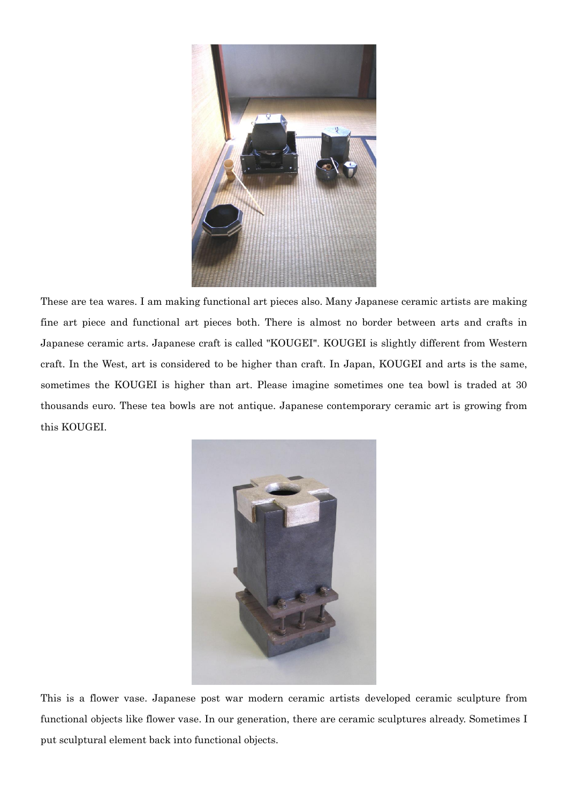

These are tea wares. I am making functional art pieces also. Many Japanese ceramic artists are making fine art piece and functional art pieces both. There is almost no border between arts and crafts in Japanese ceramic arts. Japanese craft is called "KOUGEI". KOUGEI is slightly different from Western craft. In the West, art is considered to be higher than craft. In Japan, KOUGEI and arts is the same, sometimes the KOUGEI is higher than art. Please imagine sometimes one tea bowl is traded at 30 thousands euro. These tea bowls are not antique. Japanese contemporary ceramic art is growing from this KOUGEI.



This is a flower vase. Japanese post war modern ceramic artists developed ceramic sculpture from functional objects like flower vase. In our generation, there are ceramic sculptures already. Sometimes I put sculptural element back into functional objects.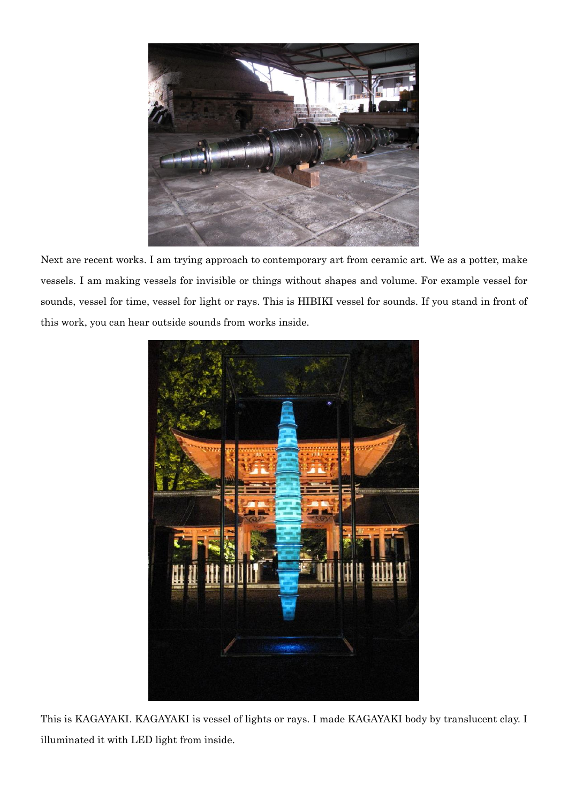

Next are recent works. I am trying approach to contemporary art from ceramic art. We as a potter, make vessels. I am making vessels for invisible or things without shapes and volume. For example vessel for sounds, vessel for time, vessel for light or rays. This is HIBIKI vessel for sounds. If you stand in front of this work, you can hear outside sounds from works inside.



This is KAGAYAKI. KAGAYAKI is vessel of lights or rays. I made KAGAYAKI body by translucent clay. I illuminated it with LED light from inside.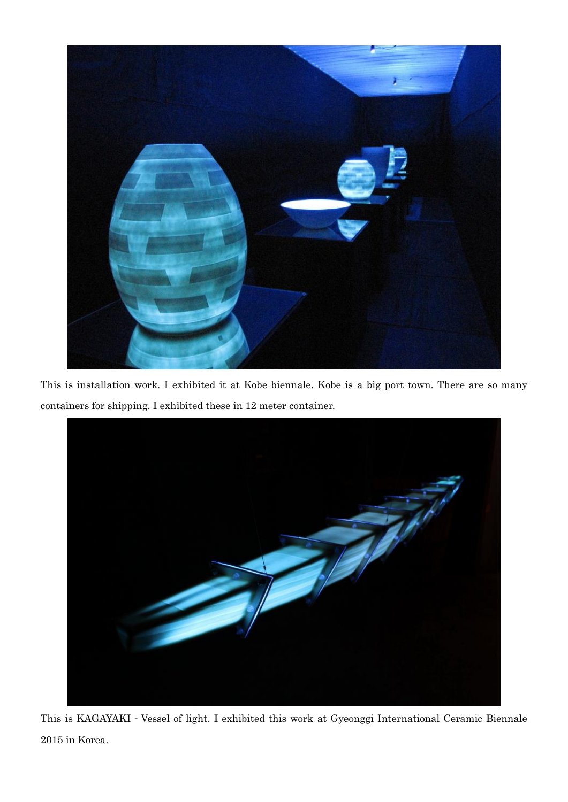

This is installation work. I exhibited it at Kobe biennale. Kobe is a big port town. There are so many containers for shipping. I exhibited these in 12 meter container.



This is KAGAYAKI‐Vessel of light. I exhibited this work at Gyeonggi International Ceramic Biennale 2015 in Korea.